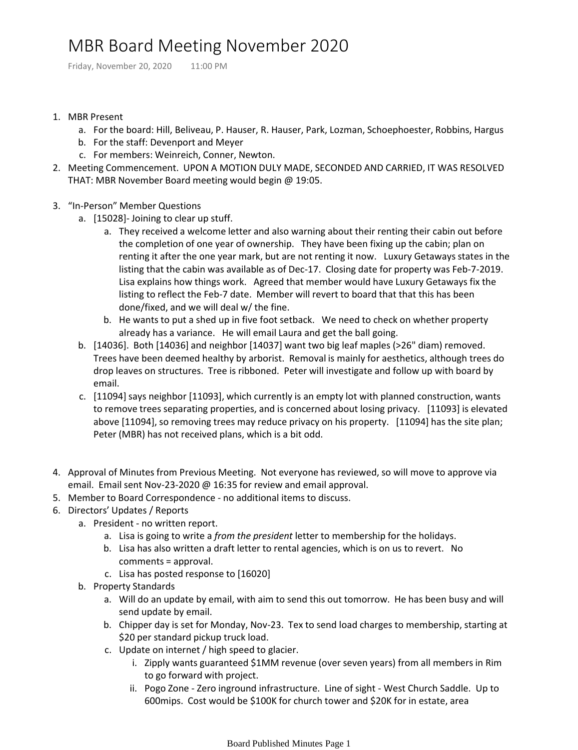## MBR Board Meeting November 2020

Friday, November 20, 2020 11:00 PM

- 1. MBR Present
	- a. For the board: Hill, Beliveau, P. Hauser, R. Hauser, Park, Lozman, Schoephoester, Robbins, Hargus
	- b. For the staff: Devenport and Meyer
	- c. For members: Weinreich, Conner, Newton.
- Meeting Commencement. UPON A MOTION DULY MADE, SECONDED AND CARRIED, IT WAS RESOLVED 2. THAT: MBR November Board meeting would begin @ 19:05.
- 3. "In-Person" Member Questions
	- a. [15028]- Joining to clear up stuff.
		- They received a welcome letter and also warning about their renting their cabin out before a. the completion of one year of ownership. They have been fixing up the cabin; plan on renting it after the one year mark, but are not renting it now. Luxury Getaways states in the listing that the cabin was available as of Dec-17. Closing date for property was Feb-7-2019. Lisa explains how things work. Agreed that member would have Luxury Getaways fix the listing to reflect the Feb-7 date. Member will revert to board that that this has been done/fixed, and we will deal w/ the fine.
		- b. He wants to put a shed up in five foot setback. We need to check on whether property already has a variance. He will email Laura and get the ball going.
	- b. [14036]. Both [14036] and neighbor [14037] want two big leaf maples (>26" diam) removed. Trees have been deemed healthy by arborist. Removal is mainly for aesthetics, although trees do drop leaves on structures. Tree is ribboned. Peter will investigate and follow up with board by email.
	- c. [11094] says neighbor [11093], which currently is an empty lot with planned construction, wants to remove trees separating properties, and is concerned about losing privacy. [11093] is elevated above [11094], so removing trees may reduce privacy on his property. [11094] has the site plan; Peter (MBR) has not received plans, which is a bit odd.
- 4. Approval of Minutes from Previous Meeting. Not everyone has reviewed, so will move to approve via email. Email sent Nov-23-2020 @ 16:35 for review and email approval.
- 5. Member to Board Correspondence no additional items to discuss.
- 6. Directors' Updates / Reports
	- a. President no written report.
		- a. Lisa is going to write a *from the president* letter to membership for the holidays.
		- b. Lisa has also written a draft letter to rental agencies, which is on us to revert. No comments = approval.
		- c. Lisa has posted response to [16020]
	- b. Property Standards
		- Will do an update by email, with aim to send this out tomorrow. He has been busy and will a. send update by email.
		- b. Chipper day is set for Monday, Nov-23. Tex to send load charges to membership, starting at \$20 per standard pickup truck load.
		- c. Update on internet / high speed to glacier.
			- i. Zipply wants guaranteed \$1MM revenue (over seven years) from all members in Rim to go forward with project.
			- ii. Pogo Zone Zero inground infrastructure. Line of sight West Church Saddle. Up to 600mips. Cost would be \$100K for church tower and \$20K for in estate, area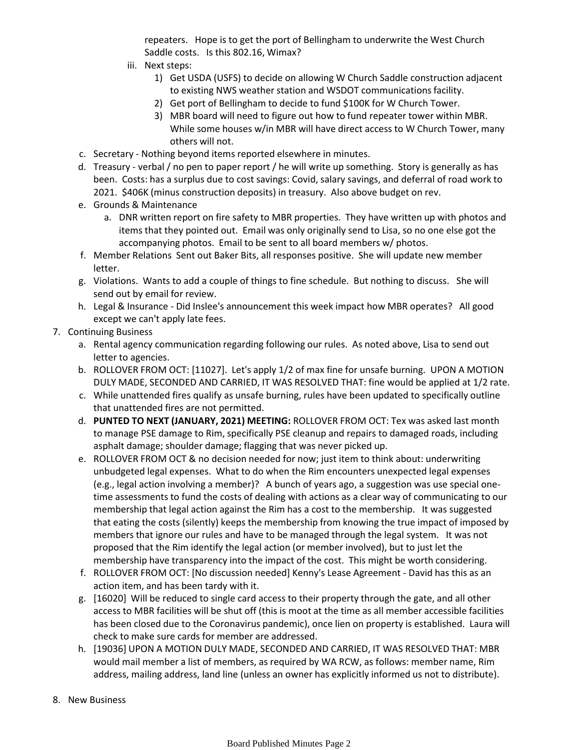repeaters. Hope is to get the port of Bellingham to underwrite the West Church Saddle costs. Is this 802.16, Wimax?

- iii. Next steps:
	- Get USDA (USFS) to decide on allowing W Church Saddle construction adjacent 1) to existing NWS weather station and WSDOT communications facility.
	- 2) Get port of Bellingham to decide to fund \$100K for W Church Tower.
	- MBR board will need to figure out how to fund repeater tower within MBR. 3) While some houses w/in MBR will have direct access to W Church Tower, many others will not.
- c. Secretary Nothing beyond items reported elsewhere in minutes.
- d. Treasury verbal / no pen to paper report / he will write up something. Story is generally as has been. Costs: has a surplus due to cost savings: Covid, salary savings, and deferral of road work to 2021. \$406K (minus construction deposits) in treasury. Also above budget on rev.
- e. Grounds & Maintenance
	- a. DNR written report on fire safety to MBR properties. They have written up with photos and items that they pointed out. Email was only originally send to Lisa, so no one else got the accompanying photos. Email to be sent to all board members w/ photos.
- Member Relations Sent out Baker Bits, all responses positive. She will update new member f. letter.
- g. Violations. Wants to add a couple of things to fine schedule. But nothing to discuss. She will send out by email for review.
- h. Legal & Insurance Did Inslee's announcement this week impact how MBR operates? All good except we can't apply late fees.
- 7. Continuing Business
	- a. Rental agency communication regarding following our rules. As noted above, Lisa to send out letter to agencies.
	- b. ROLLOVER FROM OCT: [11027]. Let's apply 1/2 of max fine for unsafe burning. UPON A MOTION DULY MADE, SECONDED AND CARRIED, IT WAS RESOLVED THAT: fine would be applied at 1/2 rate.
	- While unattended fires qualify as unsafe burning, rules have been updated to specifically outline c. that unattended fires are not permitted.
	- d. PUNTED TO NEXT (JANUARY, 2021) MEETING: ROLLOVER FROM OCT: Tex was asked last month to manage PSE damage to Rim, specifically PSE cleanup and repairs to damaged roads, including asphalt damage; shoulder damage; flagging that was never picked up.
	- e. ROLLOVER FROM OCT & no decision needed for now; just item to think about: underwriting unbudgeted legal expenses. What to do when the Rim encounters unexpected legal expenses (e.g., legal action involving a member)? A bunch of years ago, a suggestion was use special onetime assessments to fund the costs of dealing with actions as a clear way of communicating to our membership that legal action against the Rim has a cost to the membership. It was suggested that eating the costs (silently) keeps the membership from knowing the true impact of imposed by members that ignore our rules and have to be managed through the legal system. It was not proposed that the Rim identify the legal action (or member involved), but to just let the membership have transparency into the impact of the cost. This might be worth considering.
	- f. ROLLOVER FROM OCT: [No discussion needed] Kenny's Lease Agreement David has this as an action item, and has been tardy with it.
	- g. [16020] Will be reduced to single card access to their property through the gate, and all other access to MBR facilities will be shut off (this is moot at the time as all member accessible facilities has been closed due to the Coronavirus pandemic), once lien on property is established. Laura will check to make sure cards for member are addressed.
	- h. [19036] UPON A MOTION DULY MADE, SECONDED AND CARRIED, IT WAS RESOLVED THAT: MBR would mail member a list of members, as required by WA RCW, as follows: member name, Rim address, mailing address, land line (unless an owner has explicitly informed us not to distribute).
- 8. New Business